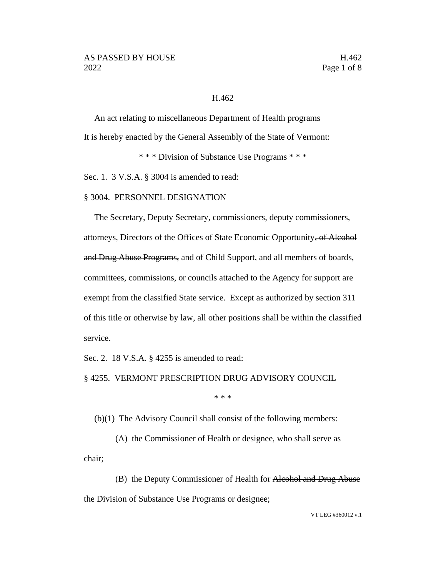#### H.462

An act relating to miscellaneous Department of Health programs It is hereby enacted by the General Assembly of the State of Vermont:

\* \* \* Division of Substance Use Programs \* \* \*

Sec. 1. 3 V.S.A. § 3004 is amended to read:

#### § 3004. PERSONNEL DESIGNATION

The Secretary, Deputy Secretary, commissioners, deputy commissioners, attorneys, Directors of the Offices of State Economic Opportunity, of Alcohol and Drug Abuse Programs, and of Child Support, and all members of boards, committees, commissions, or councils attached to the Agency for support are exempt from the classified State service. Except as authorized by section 311 of this title or otherwise by law, all other positions shall be within the classified service.

Sec. 2. 18 V.S.A. § 4255 is amended to read:

§ 4255. VERMONT PRESCRIPTION DRUG ADVISORY COUNCIL

\* \* \*

(b)(1) The Advisory Council shall consist of the following members:

(A) the Commissioner of Health or designee, who shall serve as chair;

(B) the Deputy Commissioner of Health for Alcohol and Drug Abuse the Division of Substance Use Programs or designee;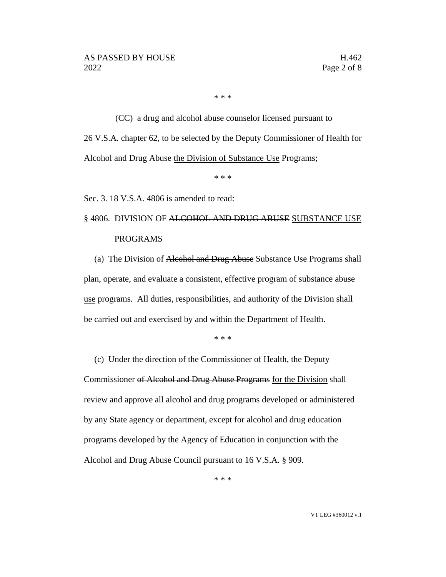\* \* \*

(CC) a drug and alcohol abuse counselor licensed pursuant to 26 V.S.A. chapter 62, to be selected by the Deputy Commissioner of Health for Alcohol and Drug Abuse the Division of Substance Use Programs;

\* \* \*

Sec. 3. 18 V.S.A. 4806 is amended to read:

# § 4806. DIVISION OF ALCOHOL AND DRUG ABUSE SUBSTANCE USE PROGRAMS

(a) The Division of Alcohol and Drug Abuse Substance Use Programs shall plan, operate, and evaluate a consistent, effective program of substance abuse use programs. All duties, responsibilities, and authority of the Division shall be carried out and exercised by and within the Department of Health.

\* \* \*

(c) Under the direction of the Commissioner of Health, the Deputy Commissioner of Alcohol and Drug Abuse Programs for the Division shall review and approve all alcohol and drug programs developed or administered by any State agency or department, except for alcohol and drug education programs developed by the Agency of Education in conjunction with the Alcohol and Drug Abuse Council pursuant to 16 V.S.A. § 909.

\* \* \*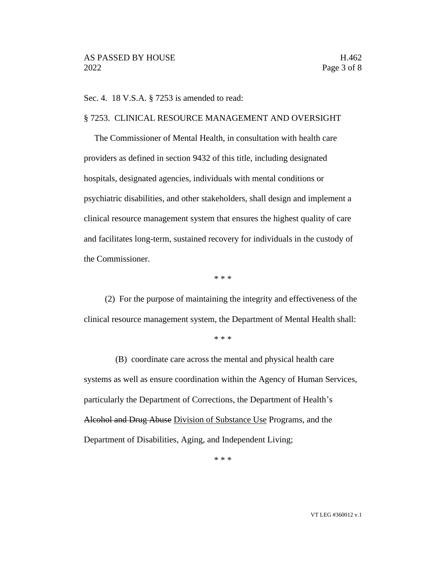Sec. 4. 18 V.S.A. § 7253 is amended to read:

### § 7253. CLINICAL RESOURCE MANAGEMENT AND OVERSIGHT

The Commissioner of Mental Health, in consultation with health care providers as defined in section 9432 of this title, including designated hospitals, designated agencies, individuals with mental conditions or psychiatric disabilities, and other stakeholders, shall design and implement a clinical resource management system that ensures the highest quality of care and facilitates long-term, sustained recovery for individuals in the custody of the Commissioner.

\* \* \*

(2) For the purpose of maintaining the integrity and effectiveness of the clinical resource management system, the Department of Mental Health shall:

\* \* \*

(B) coordinate care across the mental and physical health care systems as well as ensure coordination within the Agency of Human Services, particularly the Department of Corrections, the Department of Health's Alcohol and Drug Abuse Division of Substance Use Programs, and the Department of Disabilities, Aging, and Independent Living;

\* \* \*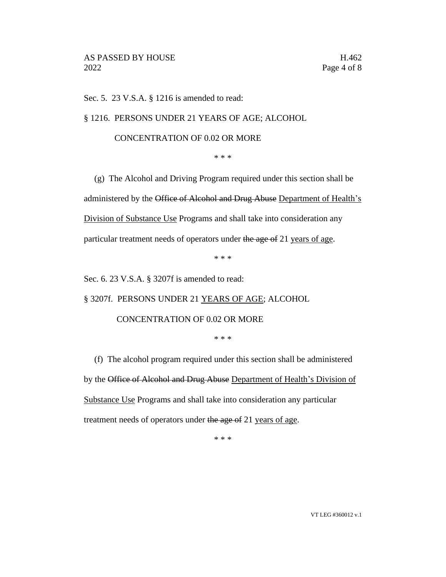Sec. 5. 23 V.S.A. § 1216 is amended to read:

§ 1216. PERSONS UNDER 21 YEARS OF AGE; ALCOHOL

### CONCENTRATION OF 0.02 OR MORE

\* \* \*

(g) The Alcohol and Driving Program required under this section shall be administered by the Office of Alcohol and Drug Abuse Department of Health's Division of Substance Use Programs and shall take into consideration any particular treatment needs of operators under the age of 21 years of age.

\* \* \*

Sec. 6. 23 V.S.A. § 3207f is amended to read:

§ 3207f. PERSONS UNDER 21 YEARS OF AGE; ALCOHOL

#### CONCENTRATION OF 0.02 OR MORE

\* \* \*

(f) The alcohol program required under this section shall be administered by the Office of Alcohol and Drug Abuse Department of Health's Division of Substance Use Programs and shall take into consideration any particular treatment needs of operators under the age of 21 years of age.

\* \* \*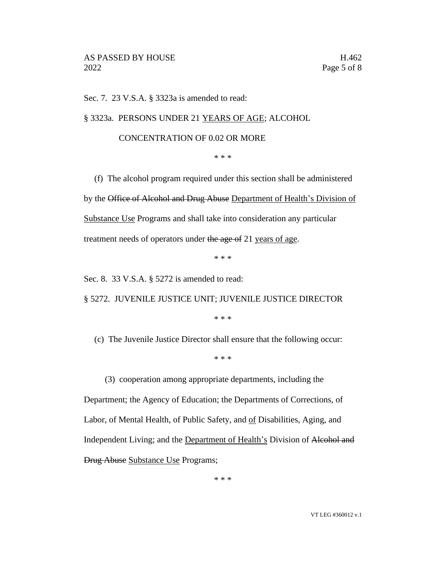Sec. 7. 23 V.S.A. § 3323a is amended to read:

§ 3323a. PERSONS UNDER 21 YEARS OF AGE; ALCOHOL

### CONCENTRATION OF 0.02 OR MORE

\* \* \*

(f) The alcohol program required under this section shall be administered by the Office of Alcohol and Drug Abuse Department of Health's Division of Substance Use Programs and shall take into consideration any particular treatment needs of operators under the age of 21 years of age.

\* \* \*

Sec. 8. 33 V.S.A. § 5272 is amended to read:

§ 5272. JUVENILE JUSTICE UNIT; JUVENILE JUSTICE DIRECTOR

\* \* \*

(c) The Juvenile Justice Director shall ensure that the following occur:

\* \* \*

(3) cooperation among appropriate departments, including the

Department; the Agency of Education; the Departments of Corrections, of Labor, of Mental Health, of Public Safety, and of Disabilities, Aging, and Independent Living; and the Department of Health's Division of Alcohol and Drug Abuse Substance Use Programs;

\* \* \*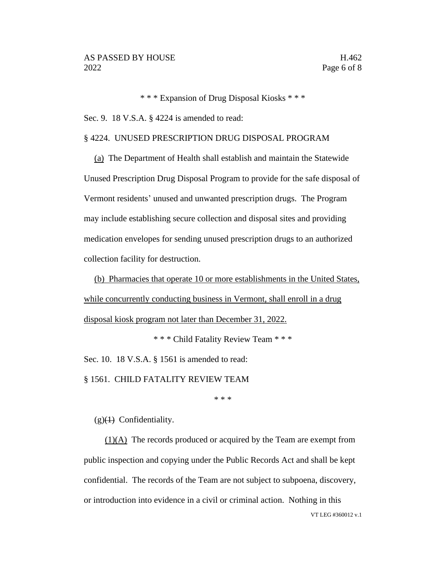\* \* \* Expansion of Drug Disposal Kiosks \* \* \*

Sec. 9. 18 V.S.A. § 4224 is amended to read:

### § 4224. UNUSED PRESCRIPTION DRUG DISPOSAL PROGRAM

(a) The Department of Health shall establish and maintain the Statewide Unused Prescription Drug Disposal Program to provide for the safe disposal of Vermont residents' unused and unwanted prescription drugs. The Program may include establishing secure collection and disposal sites and providing medication envelopes for sending unused prescription drugs to an authorized collection facility for destruction.

(b) Pharmacies that operate 10 or more establishments in the United States, while concurrently conducting business in Vermont, shall enroll in a drug disposal kiosk program not later than December 31, 2022.

\* \* \* Child Fatality Review Team \* \* \*

Sec. 10. 18 V.S.A. § 1561 is amended to read:

§ 1561. CHILD FATALITY REVIEW TEAM

\* \* \*

 $(g)(1)$  Confidentiality.

VT LEG #360012 v.1 (1)(A) The records produced or acquired by the Team are exempt from public inspection and copying under the Public Records Act and shall be kept confidential. The records of the Team are not subject to subpoena, discovery, or introduction into evidence in a civil or criminal action. Nothing in this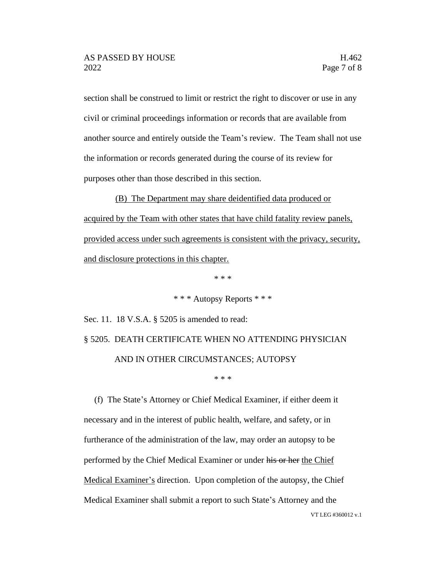section shall be construed to limit or restrict the right to discover or use in any civil or criminal proceedings information or records that are available from another source and entirely outside the Team's review. The Team shall not use the information or records generated during the course of its review for purposes other than those described in this section.

(B) The Department may share deidentified data produced or acquired by the Team with other states that have child fatality review panels, provided access under such agreements is consistent with the privacy, security, and disclosure protections in this chapter.

\* \* \*

\* \* \* Autopsy Reports \* \* \*

Sec. 11. 18 V.S.A. § 5205 is amended to read:

## § 5205. DEATH CERTIFICATE WHEN NO ATTENDING PHYSICIAN AND IN OTHER CIRCUMSTANCES; AUTOPSY

#### \* \* \*

(f) The State's Attorney or Chief Medical Examiner, if either deem it necessary and in the interest of public health, welfare, and safety, or in furtherance of the administration of the law, may order an autopsy to be performed by the Chief Medical Examiner or under his or her the Chief Medical Examiner's direction. Upon completion of the autopsy, the Chief Medical Examiner shall submit a report to such State's Attorney and the